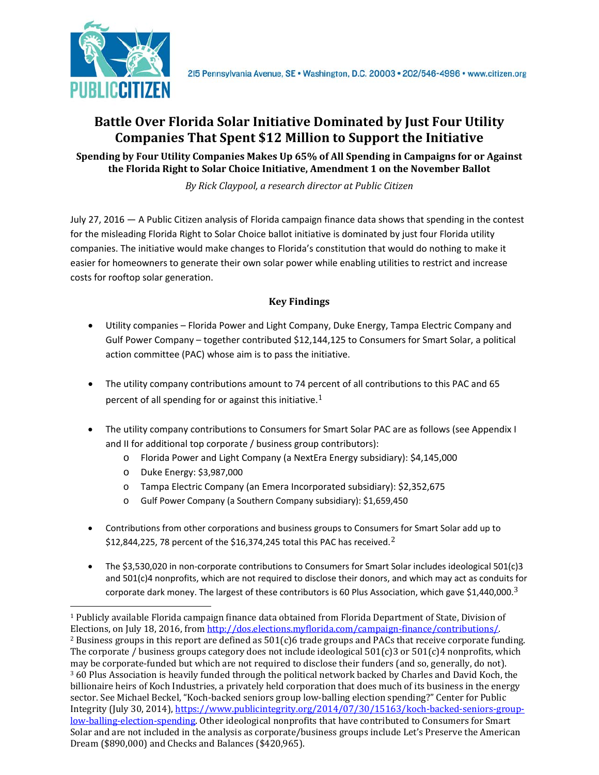

# **Battle Over Florida Solar Initiative Dominated by Just Four Utility Companies That Spent \$12 Million to Support the Initiative**

#### **Spending by Four Utility Companies Makes Up 65% of All Spending in Campaigns for or Against the Florida Right to Solar Choice Initiative, Amendment 1 on the November Ballot**

*By Rick Claypool, a research director at Public Citizen*

July 27, 2016 — A Public Citizen analysis of Florida campaign finance data shows that spending in the contest for the misleading Florida Right to Solar Choice ballot initiative is dominated by just four Florida utility companies. The initiative would make changes to Florida's constitution that would do nothing to make it easier for homeowners to generate their own solar power while enabling utilities to restrict and increase costs for rooftop solar generation.

### **Key Findings**

- Utility companies Florida Power and Light Company, Duke Energy, Tampa Electric Company and Gulf Power Company – together contributed \$12,144,125 to Consumers for Smart Solar, a political action committee (PAC) whose aim is to pass the initiative.
- The utility company contributions amount to 74 pe[rc](#page-0-0)ent of all contributions to this PAC and 65 percent of all spending for or against this initiative.<sup>1</sup>
- The utility company contributions to Consumers for Smart Solar PAC are as follows (see Appendix I and II for additional top corporate / business group contributors):
	- o Florida Power and Light Company (a NextEra Energy subsidiary): \$4,145,000
	- o Duke Energy: \$3,987,000
	- o Tampa Electric Company (an Emera Incorporated subsidiary): \$2,352,675
	- o Gulf Power Company (a Southern Company subsidiary): \$1,659,450
- <span id="page-0-3"></span>• Contributions from other corporations and business groups to Consum[ers](#page-0-1) for Smart Solar add up to \$12,844,225, 78 percent of the \$16,374,245 total this PAC has received.<sup>2</sup>
- The \$3,530,020 in non-corporate contributions to Consumers for Smart Solar includes ideological 501(c)3 and 501(c)4 nonprofits, which are not required to disclose their donors, and which may act as conduits [f](#page-0-2)or corporate dark money. The largest of these contributors is 60 Plus Association, which gave \$1,440,000.<sup>3</sup>

<span id="page-0-2"></span><span id="page-0-1"></span><span id="page-0-0"></span> <sup>1</sup> Publicly available Florida campaign finance data obtained from Florida Department of State, Division of Elections, on July 18, 2016, fro[m http://dos.elections.myflorida.com/campaign-finance/contributions/.](http://dos.elections.myflorida.com/campaign-finance/contributions/) <sup>2</sup> Business groups in this report are defined as  $501(c)6$  trade groups and PACs that receive corporate funding. The corporate / business groups category does not include ideological  $501(c)3$  or  $501(c)4$  nonprofits, which may be corporate-funded but which are not required to disclose their funders (and so, generally, do not).  $360$  Plus Association is heavily funded through the political network backed by Charles and David Koch, the billionaire heirs of Koch Industries, a privately held corporation that does much of its business in the energy sector. See Michael Beckel, "Koch-backed seniors group low-balling election spending?" Center for Public Integrity (July 30, 2014)[, https://www.publicintegrity.org/2014/07/30/15163/koch-backed-seniors-group](https://www.publicintegrity.org/2014/07/30/15163/koch-backed-seniors-group-low-balling-election-spending)[low-balling-election-spending.](https://www.publicintegrity.org/2014/07/30/15163/koch-backed-seniors-group-low-balling-election-spending) Other ideological nonprofits that have contributed to Consumers for Smart Solar and are not included in the analysis as corporate/business groups include Let's Preserve the American Dream (\$890,000) and Checks and Balances (\$420,965).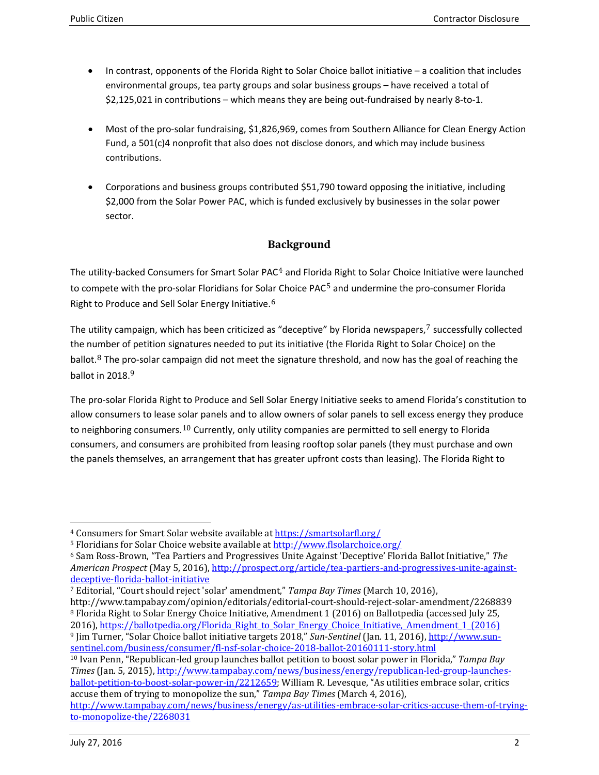- In contrast, opponents of the Florida Right to Solar Choice ballot initiative a coalition that includes environmental groups, tea party groups and solar business groups – have received a total of \$2,125,021 in contributions – which means they are being out-fundraised by nearly 8-to-1.
- Most of the pro-solar fundraising, \$1,826,969, comes from Southern Alliance for Clean Energy Action Fund, a 501(c)4 nonprofit that also does not disclose donors, and which may include business contributions.
- Corporations and business groups contributed \$51,790 toward opposing the initiative, including \$2,000 from the Solar Power PAC, which is funded exclusively by businesses in the solar power sector.

## **Background**

The utility-backed Consumers for Smart Solar PAC<sup>4</sup> and Flori[da](#page-1-0) Right to Solar Choice Initiative were launched to compete with the pro-sol[ar](#page-1-1) Floridians for Solar [C](#page-0-3)hoice PAC<sup>5</sup> and undermine the pro-consumer Florida Right to Produce and Sell Solar Energy Initiative.<sup>6</sup>

The utility campaign, which has been criticized as "deceptive" by Florida newspapers, $7$  successfully collected the nu[m](#page-1-3)ber of petition signatures needed to put its initiative (the Florida Right to Sol[ar](#page-1-2) Choice) on the ball[o](#page-1-4)t. $8$  The pro-solar campaign did not meet the signature threshold, and now has the goal of reaching the ballot in  $2018<sup>9</sup>$ 

The pro-solar Florida Right to Produce and Sell Solar Energy Initiative seeks to amend Florida's constitution to allow consumers to lease s[ola](#page-1-5)r panels and to allow owners of solar panels to sell excess energy they produce to neighboring consumers.<sup>10</sup> Currently, only utility companies are permitted to sell energy to Florida consumers, and consumers are prohibited from leasing rooftop solar panels (they must purchase and own the panels themselves, an arrangement that has greater upfront costs than leasing). The Florida Right to

<span id="page-1-2"></span><sup>7</sup> Editorial, "Court should reject 'solar' amendment," *Tampa Bay Times* (March 10, 2016), http://www.tampabay.com/opinion/editorials/editorial-court-should-reject-solar-amendment/2268839

<span id="page-1-6"></span><span id="page-1-3"></span><sup>8</sup> Florida Right to Solar Energy Choice Initiative, Amendment 1 (2016) on Ballotpedia (accessed July 25, 2016), [https://ballotpedia.org/Florida\\_Right\\_to\\_Solar\\_Energy\\_Choice\\_Initiative,\\_Amendment\\_1\\_\(2016\)](https://ballotpedia.org/Florida_Right_to_Solar_Energy_Choice_Initiative,_Amendment_1_(2016)) <sup>9</sup> Jim Turner, "Solar Choice ballot initiative targets 2018," *Sun-Sentinel* (Jan. 11, 2016)[, http://www.sun](http://www.sun-sentinel.com/business/consumer/fl-nsf-solar-choice-2018-ballot-20160111-story.html)[sentinel.com/business/consumer/fl-nsf-solar-choice-2018-ballot-20160111-story.html](http://www.sun-sentinel.com/business/consumer/fl-nsf-solar-choice-2018-ballot-20160111-story.html)

<span id="page-1-5"></span><span id="page-1-4"></span><sup>10</sup> Ivan Penn, "Republican-led group launches ballot petition to boost solar power in Florida," *Tampa Bay Times* (Jan. 5, 2015)[, http://www.tampabay.com/news/business/energy/republican-led-group-launches](http://www.tampabay.com/news/business/energy/republican-led-group-launches-ballot-petition-to-boost-solar-power-in/2212659)[ballot-petition-to-boost-solar-power-in/2212659;](http://www.tampabay.com/news/business/energy/republican-led-group-launches-ballot-petition-to-boost-solar-power-in/2212659) William R. Levesque, "As utilities embrace solar, critics accuse them of trying to monopolize the sun," *Tampa Bay Times* (March 4, 2016), [http://www.tampabay.com/news/business/energy/as-utilities-embrace-solar-critics-accuse-them-of-trying](http://www.tampabay.com/news/business/energy/as-utilities-embrace-solar-critics-accuse-them-of-trying-to-monopolize-the/2268031)[to-monopolize-the/2268031](http://www.tampabay.com/news/business/energy/as-utilities-embrace-solar-critics-accuse-them-of-trying-to-monopolize-the/2268031)

<sup>&</sup>lt;sup>4</sup> Consumers for Smart Solar website available a[t https://smartsolarfl.org/](https://smartsolarfl.org/)

<span id="page-1-0"></span><sup>5</sup> Floridians for Solar Choice website available a[t http://www.flsolarchoice.org/](http://www.flsolarchoice.org/)

<span id="page-1-1"></span><sup>6</sup> Sam Ross-Brown, "Tea Partiers and Progressives Unite Against 'Deceptive' Florida Ballot Initiative," *The American Prospect* (May 5, 2016), [http://prospect.org/article/tea-partiers-and-progressives-unite-against](http://prospect.org/article/tea-partiers-and-progressives-unite-against-deceptive-florida-ballot-initiative)[deceptive-florida-ballot-initiative](http://prospect.org/article/tea-partiers-and-progressives-unite-against-deceptive-florida-ballot-initiative)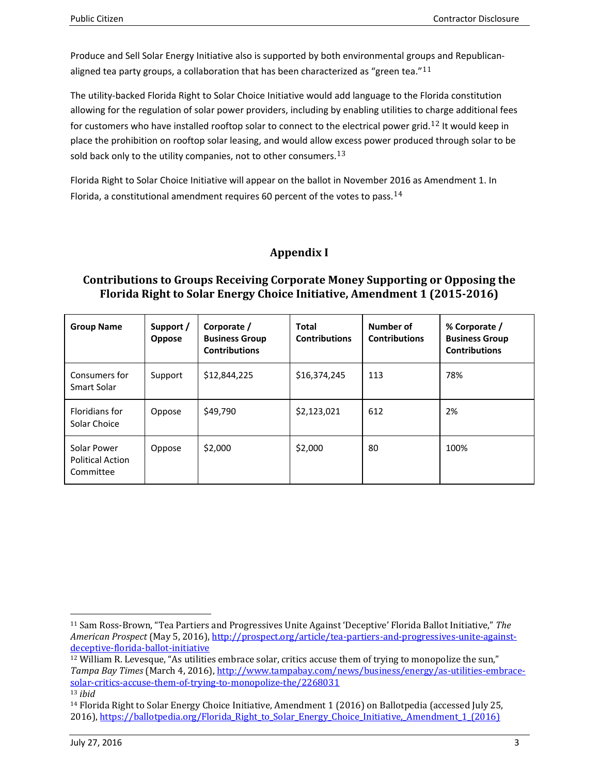Produce and Sell Solar Energy Initiative also is supported by both environmental gro[ups](#page-1-6) and Republicanaligned tea party groups, a collaboration that has been characterized as "green tea." $11$ 

The utility-backed Florida Right to Solar Choice Initiative would add language to the Florida constitution allowing for the regulation of solar power providers, including by enabling utilities to c[ha](#page-2-0)rge additional fees for customers who have installed rooftop solar to connect to the electrical power grid.<sup>12</sup> It would keep in place the prohibition on rooftop solar leasing, and would allow [exc](#page-2-1)ess power produced through solar to be sold back only to the utility companies, not to other consumers.  $13$ 

Florida Right to Solar Choice Initiative will appear on the ballot in November [201](#page-2-2)6 as Amendment 1. In Florida, a constitutional amendment requires 60 percent of the votes to pass.  $14$ 

## **Appendix I**

### **Contributions to Groups Receiving Corporate Money Supporting or Opposing the Florida Right to Solar Energy Choice Initiative, Amendment 1 (2015-2016)**

| <b>Group Name</b>                                   | Support /<br><b>Oppose</b> | Corporate /<br><b>Business Group</b><br><b>Contributions</b> | <b>Total</b><br><b>Contributions</b> | Number of<br><b>Contributions</b> | % Corporate /<br><b>Business Group</b><br><b>Contributions</b> |
|-----------------------------------------------------|----------------------------|--------------------------------------------------------------|--------------------------------------|-----------------------------------|----------------------------------------------------------------|
| Consumers for<br>Smart Solar                        | Support                    | \$12,844,225                                                 | \$16,374,245                         | 113                               | 78%                                                            |
| Floridians for<br>Solar Choice                      | Oppose                     | \$49,790                                                     | \$2,123,021                          | 612                               | 2%                                                             |
| Solar Power<br><b>Political Action</b><br>Committee | Oppose                     | \$2,000                                                      | \$2,000                              | 80                                | 100%                                                           |

 <sup>11</sup> Sam Ross-Brown, "Tea Partiers and Progressives Unite Against 'Deceptive' Florida Ballot Initiative," *The American Prospect* (May 5, 2016), [http://prospect.org/article/tea-partiers-and-progressives-unite-against](http://prospect.org/article/tea-partiers-and-progressives-unite-against-deceptive-florida-ballot-initiative)[deceptive-florida-ballot-initiative](http://prospect.org/article/tea-partiers-and-progressives-unite-against-deceptive-florida-ballot-initiative)

<span id="page-2-0"></span><sup>&</sup>lt;sup>12</sup> William R. Levesque, "As utilities embrace solar, critics accuse them of trying to monopolize the sun," *Tampa Bay Times* (March 4, 2016), [http://www.tampabay.com/news/business/energy/as-utilities-embrace](http://www.tampabay.com/news/business/energy/as-utilities-embrace-solar-critics-accuse-them-of-trying-to-monopolize-the/2268031)[solar-critics-accuse-them-of-trying-to-monopolize-the/2268031](http://www.tampabay.com/news/business/energy/as-utilities-embrace-solar-critics-accuse-them-of-trying-to-monopolize-the/2268031) <sup>13</sup> *ibid*

<span id="page-2-2"></span><span id="page-2-1"></span><sup>14</sup> Florida Right to Solar Energy Choice Initiative, Amendment 1 (2016) on Ballotpedia (accessed July 25, 2016), [https://ballotpedia.org/Florida\\_Right\\_to\\_Solar\\_Energy\\_Choice\\_Initiative,\\_Amendment\\_1\\_\(2016\)](https://ballotpedia.org/Florida_Right_to_Solar_Energy_Choice_Initiative,_Amendment_1_(2016))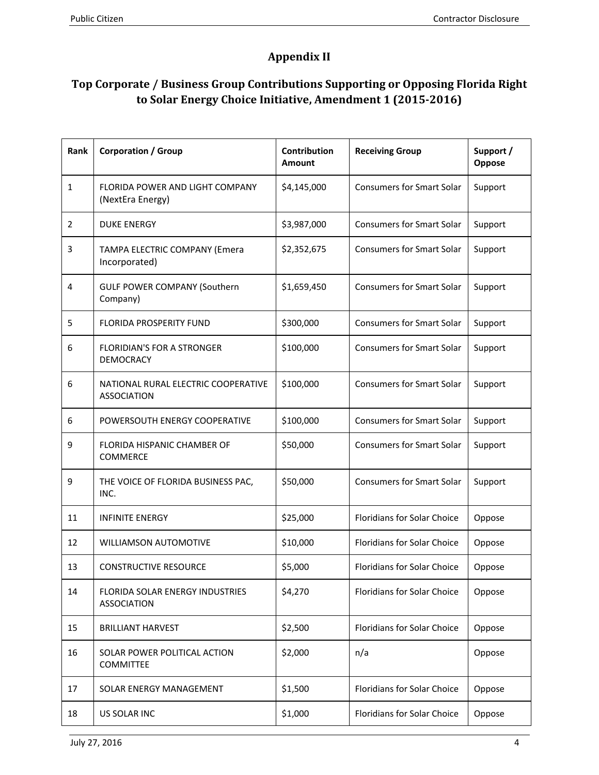# **Appendix II**

## **Top Corporate / Business Group Contributions Supporting or Opposing Florida Right to Solar Energy Choice Initiative, Amendment 1 (2015-2016)**

| Rank           | <b>Corporation / Group</b>                                   | Contribution<br><b>Amount</b> | <b>Receiving Group</b>             | Support /<br>Oppose |
|----------------|--------------------------------------------------------------|-------------------------------|------------------------------------|---------------------|
| $\mathbf{1}$   | <b>FLORIDA POWER AND LIGHT COMPANY</b><br>(NextEra Energy)   | \$4,145,000                   | <b>Consumers for Smart Solar</b>   | Support             |
| $\overline{2}$ | <b>DUKE ENERGY</b>                                           | \$3,987,000                   | <b>Consumers for Smart Solar</b>   | Support             |
| 3              | TAMPA ELECTRIC COMPANY (Emera<br>Incorporated)               | \$2,352,675                   | <b>Consumers for Smart Solar</b>   | Support             |
| 4              | <b>GULF POWER COMPANY (Southern</b><br>Company)              | \$1,659,450                   | <b>Consumers for Smart Solar</b>   | Support             |
| 5              | <b>FLORIDA PROSPERITY FUND</b>                               | \$300,000                     | <b>Consumers for Smart Solar</b>   | Support             |
| 6              | <b>FLORIDIAN'S FOR A STRONGER</b><br><b>DEMOCRACY</b>        | \$100,000                     | <b>Consumers for Smart Solar</b>   | Support             |
| 6              | NATIONAL RURAL ELECTRIC COOPERATIVE<br><b>ASSOCIATION</b>    | \$100,000                     | <b>Consumers for Smart Solar</b>   | Support             |
| 6              | POWERSOUTH ENERGY COOPERATIVE                                | \$100,000                     | <b>Consumers for Smart Solar</b>   | Support             |
| 9              | FLORIDA HISPANIC CHAMBER OF<br><b>COMMERCE</b>               | \$50,000                      | <b>Consumers for Smart Solar</b>   | Support             |
| 9              | THE VOICE OF FLORIDA BUSINESS PAC,<br>INC.                   | \$50,000                      | <b>Consumers for Smart Solar</b>   | Support             |
| 11             | <b>INFINITE ENERGY</b>                                       | \$25,000                      | Floridians for Solar Choice        | Oppose              |
| 12             | <b>WILLIAMSON AUTOMOTIVE</b>                                 | \$10,000                      | Floridians for Solar Choice        | Oppose              |
| 13             | <b>CONSTRUCTIVE RESOURCE</b>                                 | \$5,000                       | <b>Floridians for Solar Choice</b> | Oppose              |
| 14             | <b>FLORIDA SOLAR ENERGY INDUSTRIES</b><br><b>ASSOCIATION</b> | \$4,270                       | <b>Floridians for Solar Choice</b> | Oppose              |
| 15             | <b>BRILLIANT HARVEST</b>                                     | \$2,500                       | <b>Floridians for Solar Choice</b> | Oppose              |
| 16             | SOLAR POWER POLITICAL ACTION<br><b>COMMITTEE</b>             | \$2,000                       | n/a                                | Oppose              |
| 17             | SOLAR ENERGY MANAGEMENT                                      | \$1,500                       | <b>Floridians for Solar Choice</b> | Oppose              |
| 18             | US SOLAR INC                                                 | \$1,000                       | <b>Floridians for Solar Choice</b> | Oppose              |